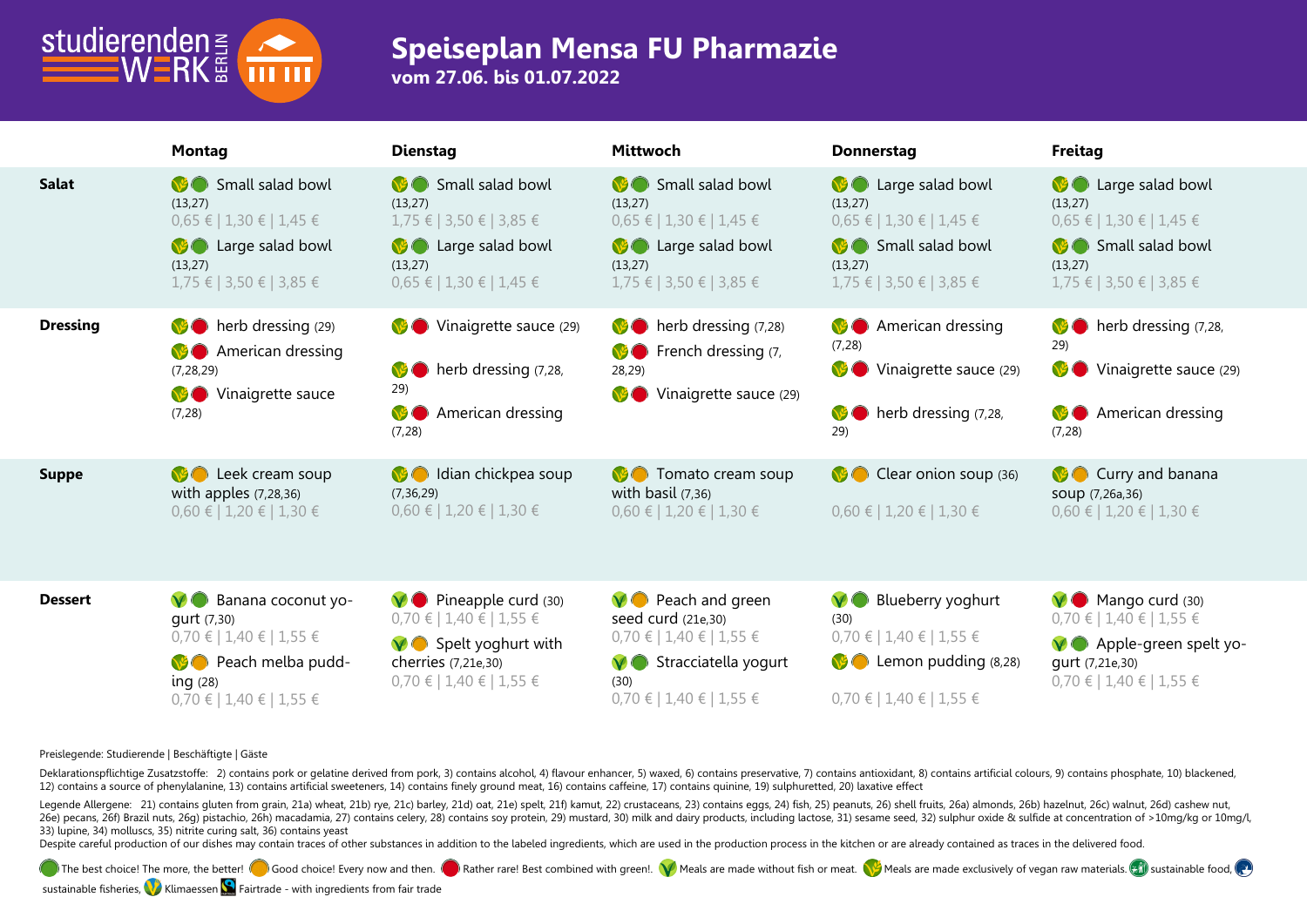

## **Speiseplan Mensa FU Pharmazie**

**vom 27.06. bis 01.07.2022**

|                 | <b>Montag</b>                                                                                                                                           | <b>Dienstag</b>                                                                                                                                      | <b>Mittwoch</b>                                                                                                                                         | <b>Donnerstag</b>                                                                                                                                  | Freitag                                                                                                                                    |
|-----------------|---------------------------------------------------------------------------------------------------------------------------------------------------------|------------------------------------------------------------------------------------------------------------------------------------------------------|---------------------------------------------------------------------------------------------------------------------------------------------------------|----------------------------------------------------------------------------------------------------------------------------------------------------|--------------------------------------------------------------------------------------------------------------------------------------------|
| <b>Salat</b>    | <b>S</b> Small salad bowl<br>(13, 27)<br>$0.65 \in 1.30 \in 1.45 \in$<br><b>C</b> Large salad bowl<br>(13, 27)<br>$1,75 \in$   3,50 €   3,85 €          | <b>Small salad bowl</b><br>(13, 27)<br>$1,75 \in$   3,50 €   3,85 €<br><b>C</b> Large salad bowl<br>(13, 27)<br>$0.65 \in   1.30 \in   1.45 \in$     | Small salad bowl<br>(13, 27)<br>$0.65 \in 1.30 \in 1.45 \in$<br><b>O</b> Large salad bowl<br>(13, 27)<br>$1,75 \in$   3,50 €   3,85 €                   | <b>C</b> Large salad bowl<br>(13, 27)<br>$0.65 \in 1.30 \in 1.45 \in$<br>Small salad bowl<br>(13, 27)<br>$1,75 \in$   3,50 €   3,85 €              | <b>B</b> Large salad bowl<br>(13, 27)<br>$0.65 \in 1.30 \in 1.45 \in$<br>Small salad bowl<br>(13, 27)<br>1,75 €   3,50 €   3,85 €          |
| <b>Dressing</b> | therb dressing (29)<br><b>O</b> American dressing<br>(7, 28, 29)<br>Vinaigrette sauce<br>(7, 28)                                                        | ♦ Vinaigrette sauce (29)<br>herb dressing (7,28,<br>V <sup>y</sup><br>29)<br><b>VSC</b><br>American dressing<br>(7, 28)                              | $\bullet$ herb dressing $(7,28)$<br><b>C</b> French dressing (7,<br>28,29)<br>♦ Vinaigrette sauce (29)                                                  | <b>O</b> American dressing<br>(7, 28)<br>Vinaigrette sauce (29)<br>herb dressing (7,28,<br>29)                                                     | therb dressing (7,28,<br>29)<br>Vinaigrette sauce (29)<br><b>O</b> American dressing<br>(7, 28)                                            |
| <b>Suppe</b>    | <b>O</b> Leek cream soup<br>with apples $(7, 28, 36)$<br>$0,60 \in 1,20 \in 1,30 \in$                                                                   | <b>O</b> Idian chickpea soup<br>(7, 36, 29)<br>$0,60 \in   1,20 \in   1,30 \in$                                                                      | <b>O</b> Tomato cream soup<br>with basil $(7,36)$<br>$0,60 \in   1,20 \in   1,30 \in$                                                                   | Clear onion soup (36)<br>$0,60 \in 1,20 \in 1,30 \in$                                                                                              | <b>C</b> Curry and banana<br>SOUP (7,26a,36)<br>$0,60 \in$   1,20 €   1,30 €                                                               |
| <b>Dessert</b>  | $\vee$ Banana coconut yo-<br>qurt (7,30)<br>$0,70 \in   1,40 \in   1,55 \in$<br><b>Peach melba pudd-</b><br>ing(28)<br>$0,70 \in   1,40 \in   1,55 \in$ | $\vee$ Pineapple curd (30)<br>$0,70 \in   1,40 \in   1,55 \in$<br><b>V</b> Spelt yoghurt with<br>cherries (7,21e,30)<br>$0,70 \in$   1,40 €   1,55 € | $\vee$ Peach and green<br>seed curd (21e,30)<br>$0,70 \in$   1,40 €   1,55 €<br>$\vee$ Stracciatella yogurt<br>(30)<br>$0,70 \in   1,40 \in   1,55 \in$ | Blueberry yoghurt<br>$\mathbf{V}$<br>(30)<br>$0,70 \in   1,40 \in   1,55 \in$<br><b>C</b> Lemon pudding (8,28)<br>$0,70 \in   1,40 \in   1,55 \in$ | <b>V</b> Mango curd (30)<br>$0,70 \in   1,40 \in   1,55 \in$<br>V Apple-green spelt yo-<br>qurt (7,21e,30)<br>$0,70 \in 1,40 \in 1,55 \in$ |

### **Preislegende: Studierende | Beschäftigte | Gäste**

Deklarationspflichtige Zusatzstoffe: 2) contains pork or gelatine derived from pork, 3) contains alcohol, 4) flavour enhancer, 5) waxed, 6) contains preservative, 7) contains antioxidant, 8) contains artificial colours, 9) 12) contains a source of phenylalanine, 13) contains artificial sweeteners, 14) contains finely ground meat, 16) contains caffeine, 17) contains quinine, 19) sulphuretted, 20) laxative effect

Legende Allergene: 21) contains gluten from grain, 21a) wheat, 21b) rye, 21c) barley, 21d) oat, 21e) spelt, 21f) kamut, 22) crustaceans, 23) contains eggs, 24) fish, 25) peanuts, 26) shell fruits, 26a) almonds, 26b) hazeln 260 Decans, 260 Brazil nuts, 260 pistachio, 26th macadamia, 27) contains celery, 28) contains soy protein, 29) mustard, 30) milk and dairy products, including lactose, 31) sesame seed, 32) sulphur oxide & sulfide at concen 33) lupine, 34) molluscs, 35) nitrite curing salt, 36) contains yeast

Despite careful production of our dishes may contain traces of other substances in addition to the labeled ingredients, which are used in the production process in the kitchen or are already contained as traces in the deli

The best choice! The more, the better! Good choice! Every now and then. Rather rare! Best combined with green!. Meals are made without fish or meat. Meals are made exclusively of vegan raw materials. Sustainable food,

sustainable fisheries, Klimaessen **S** Fairtrade - with ingredients from fair trade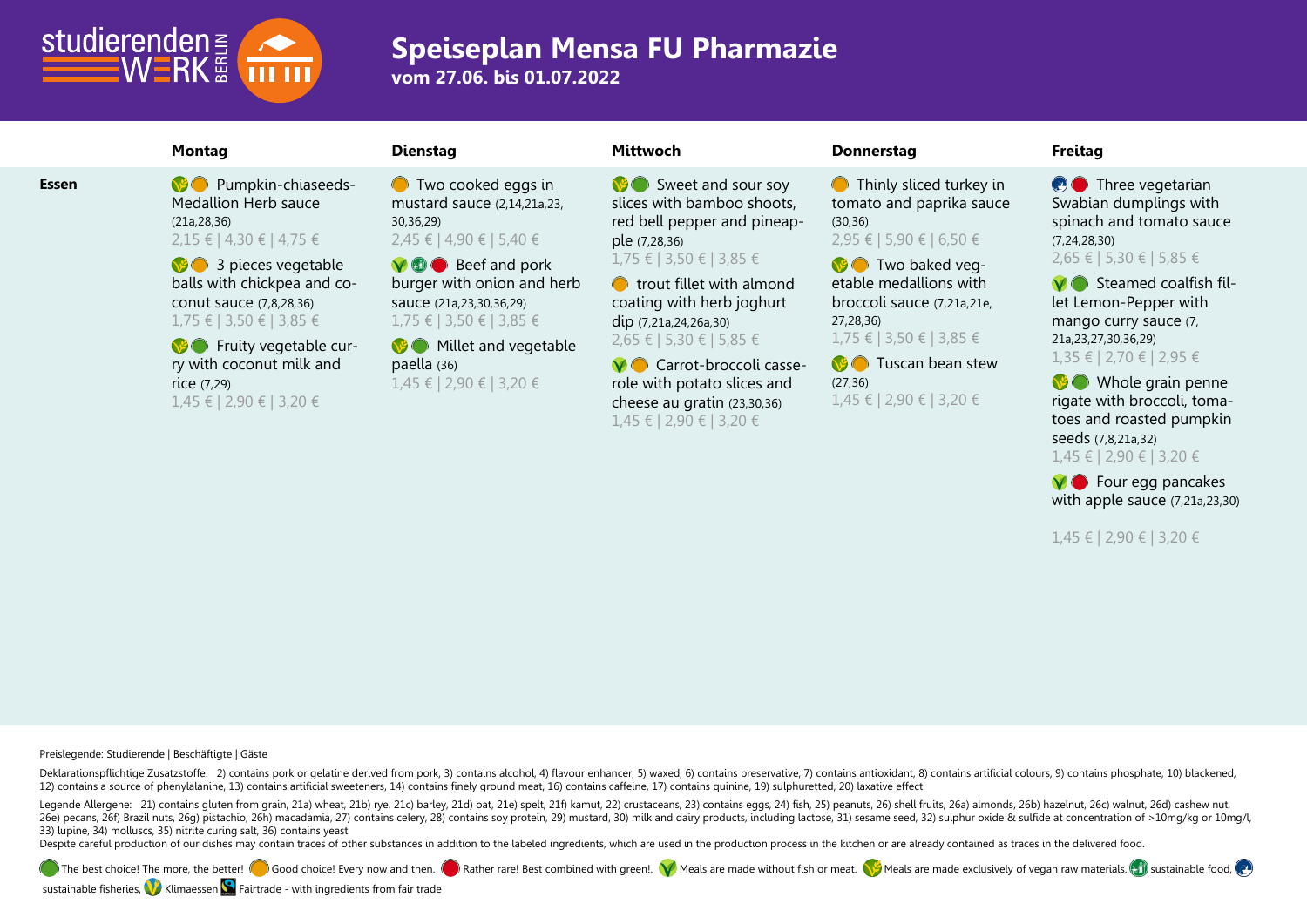

## **Speiseplan Mensa FU Pharmazie**

**vom 27.06. bis 01.07.2022**

**Essen Pumpkin-chiaseeds-**Medallion Herb sauce (21a,28,36) 2,15 € | 4,30 € | 4,75 €

> **3** a pieces vegetable balls with chickpea and coconut sauce (7,8,28,36) 1,75 € | 3,50 € | 3,85 €

> **B** Fruity vegetable curry with coconut milk and rice (7,29) 1,45 € | 2,90 € | 3,20 €

**O** Two cooked eggs in mustard sauce (2,14,21a,23, 30,36,29) 2,45 € | 4,90 € | 5,40 €

**M**  $\bullet$  Beef and pork burger with onion and herb sauce (21a,23,30,36,29) 1,75 € | 3,50 € | 3,85 €

**Millet and vegetable** paella (36) 1,45 € | 2,90 € | 3,20 €

Sweet and sour soy slices with bamboo shoots, red bell pepper and pineapple (7,28,36) 1,75 € | 3,50 € | 3,85 €

**O** trout fillet with almond coating with herb joghurt dip (7,21a,24,26a,30) 2,65 € | 5,30 € | 5,85 €

**V** Carrot-broccoli casserole with potato slices and cheese au gratin (23,30,36) 1,45 € | 2,90 € | 3,20 €

## **Montag Dienstag Mittwoch Donnerstag Freitag**

**O** Thinly sliced turkey in tomato and paprika sauce (30,36)

2,95 € | 5,90 € | 6,50 €

**Two baked veg**etable medallions with broccoli sauce (7,21a,21e, 27,28,36) 1,75 € | 3,50 € | 3,85 €

**M** Tuscan bean stew (27,36)

1,45 € | 2,90 € | 3,20 €

**O** Three vegetarian Swabian dumplings with spinach and tomato sauce (7,24,28,30) 2,65 € | 5,30 € | 5,85 €

**M** Steamed coalfish fillet Lemon-Pepper with mango curry sauce (7, 21a,23,27,30,36,29) 1,35 € | 2,70 € | 2,95 €

**Whole grain penne** rigate with broccoli, tomatoes and roasted pumpkin seeds (7,8,21a,32) 1,45 € | 2,90 € | 3,20 €

**V** Four egg pancakes with apple sauce (7,21a,23,30)

1,45 € | 2,90 € | 3,20 €

**Preislegende: Studierende | Beschäftigte | Gäste**

Deklarationspflichtige Zusatzstoffe: 2) contains pork or gelatine derived from pork, 3) contains alcohol, 4) flavour enhancer, 5) waxed, 6) contains preservative, 7) contains antioxidant, 8) contains artificial colours, 9) 12) contains a source of phenylalanine, 13) contains artificial sweeteners, 14) contains finely ground meat, 16) contains caffeine, 17) contains quinine, 19) sulphuretted, 20) laxative effect

Legende Allergene: 21) contains gluten from grain, 21a) wheat, 21b) rye, 21c) barley, 21d) oat, 21e) spelt, 21f) kamut, 22) crustaceans, 23) contains eggs, 24) fish, 25) peanuts, 26) shell fruits, 26a) almonds, 26b) hazeln 260 Decans, 260 Brazil nuts, 260 pistachio, 26h) macadamia, 27) contains celery, 28) contains soy protein, 29) mustard, 30) milk and dairy products, including lactose, 31) sesame seed, 32) sulphur oxide & sulfide at concen 33) lupine, 34) molluscs, 35) nitrite curing salt, 36) contains yeast

Despite careful production of our dishes may contain traces of other substances in addition to the labeled ingredients, which are used in the production process in the kitchen or are already contained as traces in the deli

The best choice! The more, the better! Good choice! Every now and then. Best combined with green!. W Meals are made without fish or meat. W Meals are made exclusively of vegan raw materials.  $\Box$  sustainable food,

sustainable fisheries, Klimaessen  $\Box$  Fairtrade - with ingredients from fair trade